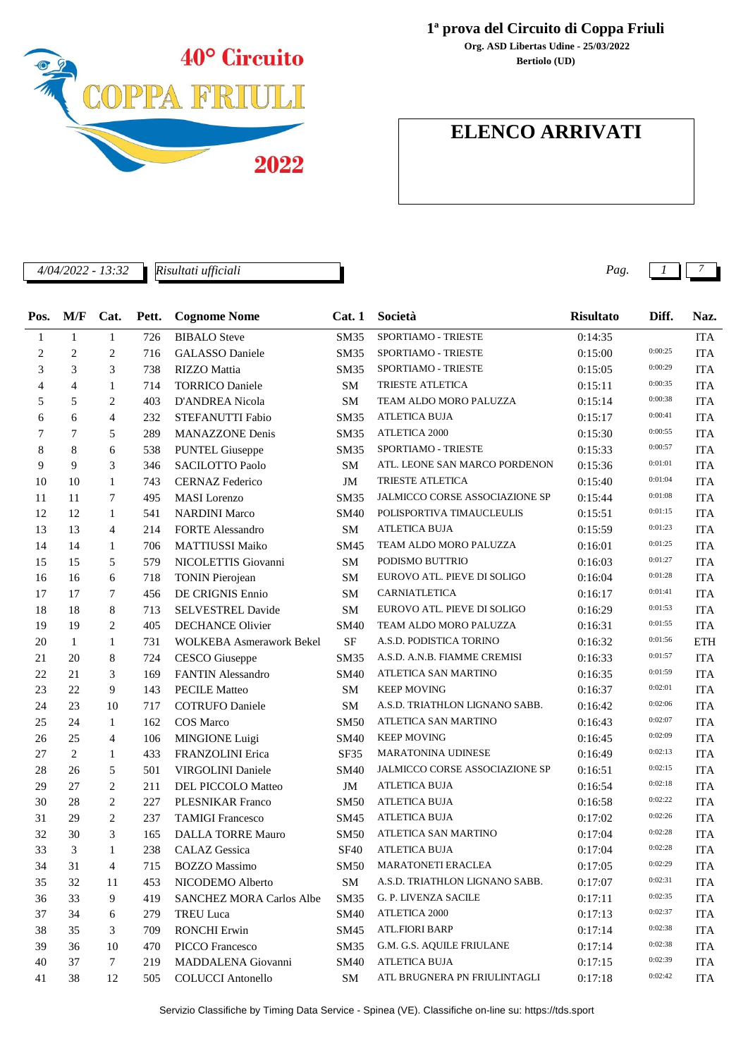

*Risultati ufficiali*

## **1ª prova del Circuito di Coppa Friuli**

**Bertiolo (UD) Org. ASD Libertas Udine - 25/03/2022**

# **ELENCO ARRIVATI**

*4/04/2022 - 13:32 Pag. 1 7*

| Pos.           |                | M/F Cat.       | Pett. | <b>Cognome Nome</b>             | Cat.1       | Società                        | <b>Risultato</b> | Diff.   | Naz.       |
|----------------|----------------|----------------|-------|---------------------------------|-------------|--------------------------------|------------------|---------|------------|
| $\mathbf{1}$   | $\mathbf{1}$   | $\mathbf{1}$   | 726   | <b>BIBALO</b> Steve             | <b>SM35</b> | SPORTIAMO - TRIESTE            | 0:14:35          |         | <b>ITA</b> |
| $\overline{c}$ | $\overline{2}$ | $\overline{c}$ | 716   | <b>GALASSO</b> Daniele          | <b>SM35</b> | SPORTIAMO - TRIESTE            | 0:15:00          | 0:00:25 | <b>ITA</b> |
| 3              | 3              | 3              | 738   | RIZZO Mattia                    | <b>SM35</b> | SPORTIAMO - TRIESTE            | 0:15:05          | 0:00:29 | <b>ITA</b> |
| 4              | $\overline{4}$ | 1              | 714   | <b>TORRICO Daniele</b>          | <b>SM</b>   | TRIESTE ATLETICA               | 0:15:11          | 0:00:35 | <b>ITA</b> |
| 5              | 5              | 2              | 403   | D'ANDREA Nicola                 | <b>SM</b>   | TEAM ALDO MORO PALUZZA         | 0:15:14          | 0:00:38 | <b>ITA</b> |
| 6              | 6              | $\overline{4}$ | 232   | STEFANUTTI Fabio                | <b>SM35</b> | <b>ATLETICA BUJA</b>           | 0:15:17          | 0:00:41 | <b>ITA</b> |
| 7              | $\tau$         | 5              | 289   | <b>MANAZZONE Denis</b>          | <b>SM35</b> | ATLETICA 2000                  | 0:15:30          | 0:00:55 | <b>ITA</b> |
| 8              | 8              | 6              | 538   | <b>PUNTEL Giuseppe</b>          | SM35        | SPORTIAMO - TRIESTE            | 0:15:33          | 0:00:57 | <b>ITA</b> |
| 9              | 9              | 3              | 346   | <b>SACILOTTO Paolo</b>          | SM          | ATL. LEONE SAN MARCO PORDENON  | 0:15:36          | 0:01:01 | <b>ITA</b> |
| 10             | 10             | 1              | 743   | <b>CERNAZ Federico</b>          | JM          | <b>TRIESTE ATLETICA</b>        | 0:15:40          | 0:01:04 | <b>ITA</b> |
| 11             | 11             | 7              | 495   | <b>MASI</b> Lorenzo             | <b>SM35</b> | JALMICCO CORSE ASSOCIAZIONE SP | 0:15:44          | 0:01:08 | <b>ITA</b> |
| 12             | 12             | 1              | 541   | <b>NARDINI Marco</b>            | SM40        | POLISPORTIVA TIMAUCLEULIS      | 0:15:51          | 0:01:15 | <b>ITA</b> |
| 13             | 13             | $\overline{4}$ | 214   | <b>FORTE Alessandro</b>         | <b>SM</b>   | ATLETICA BUJA                  | 0:15:59          | 0:01:23 | <b>ITA</b> |
| 14             | 14             | 1              | 706   | <b>MATTIUSSI Maiko</b>          | SM45        | TEAM ALDO MORO PALUZZA         | 0:16:01          | 0:01:25 | <b>ITA</b> |
| 15             | 15             | 5              | 579   | NICOLETTIS Giovanni             | SM          | PODISMO BUTTRIO                | 0:16:03          | 0:01:27 | <b>ITA</b> |
| 16             | 16             | 6              | 718   | <b>TONIN</b> Pierojean          | SM          | EUROVO ATL. PIEVE DI SOLIGO    | 0:16:04          | 0:01:28 | <b>ITA</b> |
| 17             | 17             | 7              | 456   | DE CRIGNIS Ennio                | <b>SM</b>   | CARNIATLETICA                  | 0:16:17          | 0:01:41 | <b>ITA</b> |
| 18             | 18             | 8              | 713   | <b>SELVESTREL Davide</b>        | <b>SM</b>   | EUROVO ATL. PIEVE DI SOLIGO    | 0:16:29          | 0:01:53 | <b>ITA</b> |
| 19             | 19             | $\overline{c}$ | 405   | <b>DECHANCE Olivier</b>         | <b>SM40</b> | TEAM ALDO MORO PALUZZA         | 0:16:31          | 0:01:55 | <b>ITA</b> |
| 20             | 1              | 1              | 731   | WOLKEBA Asmerawork Bekel        | <b>SF</b>   | A.S.D. PODISTICA TORINO        | 0:16:32          | 0:01:56 | <b>ETH</b> |
| 21             | 20             | 8              | 724   | <b>CESCO</b> Giuseppe           | <b>SM35</b> | A.S.D. A.N.B. FIAMME CREMISI   | 0:16:33          | 0:01:57 | <b>ITA</b> |
| 22             | 21             | 3              | 169   | <b>FANTIN</b> Alessandro        | <b>SM40</b> | ATLETICA SAN MARTINO           | 0:16:35          | 0:01:59 | <b>ITA</b> |
| 23             | 22             | 9              | 143   | <b>PECILE Matteo</b>            | SM          | <b>KEEP MOVING</b>             | 0:16:37          | 0:02:01 | <b>ITA</b> |
| 24             | 23             | 10             | 717   | <b>COTRUFO Daniele</b>          | SM          | A.S.D. TRIATHLON LIGNANO SABB. | 0:16:42          | 0:02:06 | <b>ITA</b> |
| 25             | 24             | $\mathbf{1}$   | 162   | COS Marco                       | SM50        | ATLETICA SAN MARTINO           | 0:16:43          | 0:02:07 | <b>ITA</b> |
| 26             | 25             | $\overline{4}$ | 106   | <b>MINGIONE</b> Luigi           | SM40        | <b>KEEP MOVING</b>             | 0:16:45          | 0:02:09 | <b>ITA</b> |
| 27             | $\overline{c}$ | 1              | 433   | FRANZOLINI Erica                | SF35        | <b>MARATONINA UDINESE</b>      | 0:16:49          | 0:02:13 | <b>ITA</b> |
| 28             | 26             | 5              | 501   | <b>VIRGOLINI</b> Daniele        | SM40        | JALMICCO CORSE ASSOCIAZIONE SP | 0:16:51          | 0:02:15 | <b>ITA</b> |
| 29             | 27             | $\overline{c}$ | 211   | DEL PICCOLO Matteo              | JM          | <b>ATLETICA BUJA</b>           | 0:16:54          | 0:02:18 | <b>ITA</b> |
| 30             | 28             | $\overline{c}$ | 227   | <b>PLESNIKAR Franco</b>         | <b>SM50</b> | <b>ATLETICA BUJA</b>           | 0:16:58          | 0:02:22 | <b>ITA</b> |
| 31             | 29             | $\overline{2}$ | 237   | <b>TAMIGI Francesco</b>         | SM45        | <b>ATLETICA BUJA</b>           | 0:17:02          | 0:02:26 | <b>ITA</b> |
| 32             | 30             | 3              | 165   | <b>DALLA TORRE Mauro</b>        | SM50        | ATLETICA SAN MARTINO           | 0:17:04          | 0:02:28 | <b>ITA</b> |
| 33             | 3              | $\mathbf{1}$   | 238   | <b>CALAZ</b> Gessica            | <b>SF40</b> | ATLETICA BUJA                  | 0:17:04          | 0:02:28 | <b>ITA</b> |
| 34             | $31\,$         | $\overline{4}$ |       | 715 BOZZO Massimo               |             | SM50 MARATONETI ERACLEA        | 0:17:05          | 0:02:29 | <b>ITA</b> |
| 35             | 32             | 11             | 453   | NICODEMO Alberto                | SM          | A.S.D. TRIATHLON LIGNANO SABB. | 0:17:07          | 0:02:31 | <b>ITA</b> |
| 36             | 33             | 9              | 419   | <b>SANCHEZ MORA Carlos Albe</b> | SM35        | G. P. LIVENZA SACILE           | 0:17:11          | 0:02:35 | <b>ITA</b> |
| 37             | 34             | 6              | 279   | <b>TREU Luca</b>                | <b>SM40</b> | ATLETICA 2000                  | 0:17:13          | 0:02:37 | <b>ITA</b> |
| 38             | 35             | 3              | 709   | <b>RONCHI</b> Erwin             | SM45        | <b>ATL.FIORI BARP</b>          | 0:17:14          | 0:02:38 | <b>ITA</b> |
| 39             | 36             | 10             | 470   | PICCO Francesco                 | SM35        | G.M. G.S. AQUILE FRIULANE      | 0:17:14          | 0:02:38 | <b>ITA</b> |
| 40             | 37             | $\tau$         | 219   | MADDALENA Giovanni              | <b>SM40</b> | ATLETICA BUJA                  | 0:17:15          | 0:02:39 | <b>ITA</b> |
| 41             | 38             | 12             | 505   | <b>COLUCCI</b> Antonello        | SM          | ATL BRUGNERA PN FRIULINTAGLI   | 0:17:18          | 0:02:42 | <b>ITA</b> |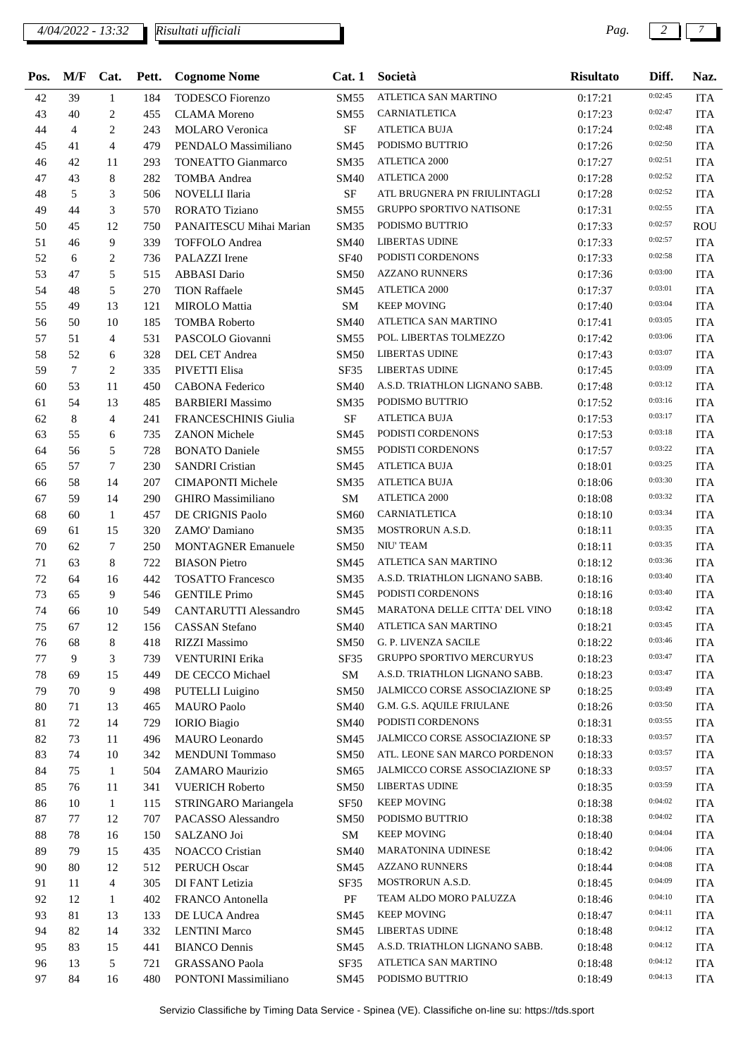#### *4/04/2022 - 13:32 Pag. 2 7 Risultati ufficiali*

| Pos.   | M/F | Cat.           | Pett. | <b>Cognome Nome</b>         | Cat.1            | Società                          | <b>Risultato</b> | Diff.   | Naz.       |
|--------|-----|----------------|-------|-----------------------------|------------------|----------------------------------|------------------|---------|------------|
| 42     | 39  | 1              | 184   | <b>TODESCO</b> Fiorenzo     | <b>SM55</b>      | ATLETICA SAN MARTINO             | 0:17:21          | 0:02:45 | <b>ITA</b> |
| 43     | 40  | 2              | 455   | <b>CLAMA</b> Moreno         | <b>SM55</b>      | CARNIATLETICA                    | 0:17:23          | 0:02:47 | <b>ITA</b> |
| 44     | 4   | 2              | 243   | <b>MOLARO</b> Veronica      | <b>SF</b>        | <b>ATLETICA BUJA</b>             | 0:17:24          | 0:02:48 | <b>ITA</b> |
| 45     | 41  | $\overline{4}$ | 479   | PENDALO Massimiliano        | SM45             | PODISMO BUTTRIO                  | 0:17:26          | 0:02:50 | <b>ITA</b> |
| 46     | 42  | 11             | 293   | <b>TONEATTO Gianmarco</b>   | <b>SM35</b>      | <b>ATLETICA 2000</b>             | 0:17:27          | 0:02:51 | <b>ITA</b> |
| 47     | 43  | 8              | 282   | <b>TOMBA</b> Andrea         | <b>SM40</b>      | <b>ATLETICA 2000</b>             | 0:17:28          | 0:02:52 | <b>ITA</b> |
| 48     | 5   | 3              | 506   | NOVELLI Ilaria              | $\rm SF$         | ATL BRUGNERA PN FRIULINTAGLI     | 0:17:28          | 0:02:52 | <b>ITA</b> |
| 49     | 44  | 3              | 570   | <b>RORATO Tiziano</b>       | SM55             | <b>GRUPPO SPORTIVO NATISONE</b>  | 0:17:31          | 0:02:55 | <b>ITA</b> |
| 50     | 45  | 12             | 750   | PANAITESCU Mihai Marian     | <b>SM35</b>      | PODISMO BUTTRIO                  | 0:17:33          | 0:02:57 | <b>ROU</b> |
| 51     | 46  | 9              | 339   | TOFFOLO Andrea              | <b>SM40</b>      | <b>LIBERTAS UDINE</b>            | 0:17:33          | 0:02:57 | <b>ITA</b> |
| 52     | 6   | 2              | 736   | PALAZZI Irene               | <b>SF40</b>      | PODISTI CORDENONS                | 0:17:33          | 0:02:58 | <b>ITA</b> |
| 53     | 47  | 5              | 515   | <b>ABBASI</b> Dario         | <b>SM50</b>      | <b>AZZANO RUNNERS</b>            | 0:17:36          | 0:03:00 | <b>ITA</b> |
| 54     | 48  | 5              | 270   | <b>TION Raffaele</b>        | SM45             | <b>ATLETICA 2000</b>             | 0:17:37          | 0:03:01 | <b>ITA</b> |
| 55     | 49  | 13             | 121   | <b>MIROLO</b> Mattia        | SM               | <b>KEEP MOVING</b>               | 0:17:40          | 0:03:04 | <b>ITA</b> |
| 56     | 50  | 10             | 185   | <b>TOMBA Roberto</b>        | <b>SM40</b>      | ATLETICA SAN MARTINO             | 0:17:41          | 0:03:05 | <b>ITA</b> |
| 57     | 51  | $\overline{4}$ | 531   | PASCOLO Giovanni            | <b>SM55</b>      | POL. LIBERTAS TOLMEZZO           | 0:17:42          | 0:03:06 | <b>ITA</b> |
| 58     | 52  | 6              | 328   | DEL CET Andrea              | <b>SM50</b>      | <b>LIBERTAS UDINE</b>            | 0:17:43          | 0:03:07 | <b>ITA</b> |
| 59     | 7   | 2              | 335   | PIVETTI Elisa               | SF35             | <b>LIBERTAS UDINE</b>            | 0:17:45          | 0:03:09 | <b>ITA</b> |
| 60     | 53  | 11             | 450   | <b>CABONA Federico</b>      | <b>SM40</b>      | A.S.D. TRIATHLON LIGNANO SABB.   | 0:17:48          | 0:03:12 | <b>ITA</b> |
| 61     | 54  | 13             | 485   | <b>BARBIERI Massimo</b>     | <b>SM35</b>      | PODISMO BUTTRIO                  | 0:17:52          | 0:03:16 | <b>ITA</b> |
| 62     | 8   | $\overline{4}$ | 241   | <b>FRANCESCHINIS Giulia</b> | <b>SF</b>        | <b>ATLETICA BUJA</b>             | 0:17:53          | 0:03:17 | <b>ITA</b> |
| 63     | 55  | 6              | 735   | <b>ZANON Michele</b>        | SM45             | PODISTI CORDENONS                | 0:17:53          | 0:03:18 | <b>ITA</b> |
| 64     | 56  | 5              | 728   | <b>BONATO Daniele</b>       | SM <sub>55</sub> | PODISTI CORDENONS                | 0:17:57          | 0:03:22 | <b>ITA</b> |
| 65     | 57  | $\tau$         | 230   | <b>SANDRI</b> Cristian      | SM45             | <b>ATLETICA BUJA</b>             | 0:18:01          | 0:03:25 | <b>ITA</b> |
| 66     | 58  | 14             | 207   | <b>CIMAPONTI Michele</b>    | <b>SM35</b>      | <b>ATLETICA BUJA</b>             | 0:18:06          | 0:03:30 | <b>ITA</b> |
| 67     | 59  | 14             | 290   | <b>GHIRO</b> Massimiliano   | SM               | ATLETICA 2000                    | 0:18:08          | 0:03:32 | <b>ITA</b> |
| 68     | 60  | 1              | 457   | DE CRIGNIS Paolo            | <b>SM60</b>      | CARNIATLETICA                    | 0:18:10          | 0:03:34 | <b>ITA</b> |
| 69     | 61  | 15             | 320   | ZAMO' Damiano               | <b>SM35</b>      | MOSTRORUN A.S.D.                 | 0:18:11          | 0:03:35 | <b>ITA</b> |
| 70     | 62  | 7              | 250   | <b>MONTAGNER Emanuele</b>   | <b>SM50</b>      | <b>NIU' TEAM</b>                 | 0:18:11          | 0:03:35 | <b>ITA</b> |
| 71     | 63  | 8              | 722   | <b>BIASON</b> Pietro        | SM45             | ATLETICA SAN MARTINO             | 0:18:12          | 0:03:36 | <b>ITA</b> |
| 72     | 64  | 16             | 442   | <b>TOSATTO Francesco</b>    | SM35             | A.S.D. TRIATHLON LIGNANO SABB.   | 0:18:16          | 0:03:40 | <b>ITA</b> |
| 73     | 65  | 9              | 546   | <b>GENTILE Primo</b>        | SM45             | PODISTI CORDENONS                | 0:18:16          | 0:03:40 | <b>ITA</b> |
| 74     | 66  | 10             | 549   | CANTARUTTI Alessandro       | SM45             | MARATONA DELLE CITTA' DEL VINO   | 0:18:18          | 0:03:42 | <b>ITA</b> |
| 75     | 67  | 12             | 156   | <b>CASSAN Stefano</b>       | <b>SM40</b>      | ATLETICA SAN MARTINO             | 0:18:21          | 0:03:45 | ITA        |
| 76     | 68  | 8              | 418   | <b>RIZZI Massimo</b>        | <b>SM50</b>      | G. P. LIVENZA SACILE             | 0:18:22          | 0:03:46 | <b>ITA</b> |
| 77     | 9   | 3              | 739   | <b>VENTURINI Erika</b>      | SF35             | <b>GRUPPO SPORTIVO MERCURYUS</b> | 0:18:23          | 0:03:47 | <b>ITA</b> |
| 78     | 69  | 15             | 449   | DE CECCO Michael            | SM               | A.S.D. TRIATHLON LIGNANO SABB.   | 0:18:23          | 0:03:47 | <b>ITA</b> |
| 79     | 70  | 9              | 498   | <b>PUTELLI</b> Luigino      | SM50             | JALMICCO CORSE ASSOCIAZIONE SP   | 0:18:25          | 0:03:49 | <b>ITA</b> |
| 80     | 71  | 13             | 465   | <b>MAURO</b> Paolo          | SM40             | G.M. G.S. AQUILE FRIULANE        | 0:18:26          | 0:03:50 | <b>ITA</b> |
| 81     | 72  | 14             | 729   | <b>IORIO</b> Biagio         | <b>SM40</b>      | PODISTI CORDENONS                | 0:18:31          | 0:03:55 | <b>ITA</b> |
| 82     | 73  | 11             | 496   | MAURO Leonardo              | SM45             | JALMICCO CORSE ASSOCIAZIONE SP   | 0:18:33          | 0:03:57 | <b>ITA</b> |
| 83     | 74  | 10             | 342   | <b>MENDUNI</b> Tommaso      | <b>SM50</b>      | ATL. LEONE SAN MARCO PORDENON    | 0:18:33          | 0:03:57 | <b>ITA</b> |
| 84     | 75  | $\mathbf{1}$   | 504   | ZAMARO Maurizio             | SM65             | JALMICCO CORSE ASSOCIAZIONE SP   | 0:18:33          | 0:03:57 | <b>ITA</b> |
| 85     | 76  | 11             | 341   | <b>VUERICH Roberto</b>      | <b>SM50</b>      | <b>LIBERTAS UDINE</b>            | 0:18:35          | 0:03:59 | <b>ITA</b> |
| 86     | 10  | $\mathbf{1}$   | 115   | STRINGARO Mariangela        | SF <sub>50</sub> | <b>KEEP MOVING</b>               | 0:18:38          | 0:04:02 | <b>ITA</b> |
| 87     | 77  | 12             | 707   | PACASSO Alessandro          | <b>SM50</b>      | PODISMO BUTTRIO                  | 0:18:38          | 0:04:02 | <b>ITA</b> |
| $88\,$ | 78  | 16             | 150   | SALZANO Joi                 | SM               | <b>KEEP MOVING</b>               | 0:18:40          | 0:04:04 | <b>ITA</b> |
| 89     | 79  | 15             | 435   | NOACCO Cristian             | <b>SM40</b>      | MARATONINA UDINESE               | 0:18:42          | 0:04:06 | <b>ITA</b> |
| 90     | 80  | 12             | 512   | <b>PERUCH Oscar</b>         | SM45             | <b>AZZANO RUNNERS</b>            | 0:18:44          | 0:04:08 | <b>ITA</b> |
| 91     | 11  | 4              | 305   | DI FANT Letizia             | SF35             | MOSTRORUN A.S.D.                 | 0:18:45          | 0:04:09 | <b>ITA</b> |
| 92     | 12  | 1              | 402   | FRANCO Antonella            | PF               | TEAM ALDO MORO PALUZZA           | 0:18:46          | 0:04:10 | <b>ITA</b> |
| 93     | 81  | 13             | 133   | DE LUCA Andrea              | SM45             | <b>KEEP MOVING</b>               | 0:18:47          | 0:04:11 | <b>ITA</b> |
| 94     | 82  | 14             | 332   | <b>LENTINI</b> Marco        | SM45             | <b>LIBERTAS UDINE</b>            | 0:18:48          | 0:04:12 | <b>ITA</b> |
| 95     | 83  | 15             | 441   | <b>BIANCO Dennis</b>        | SM45             | A.S.D. TRIATHLON LIGNANO SABB.   | 0:18:48          | 0:04:12 | <b>ITA</b> |
| 96     | 13  | 5              | 721   | <b>GRASSANO Paola</b>       | SF35             | ATLETICA SAN MARTINO             | 0:18:48          | 0:04:12 | <b>ITA</b> |
| 97     | 84  | 16             | 480   | PONTONI Massimiliano        | SM45             | PODISMO BUTTRIO                  | 0:18:49          | 0:04:13 | <b>ITA</b> |
|        |     |                |       |                             |                  |                                  |                  |         |            |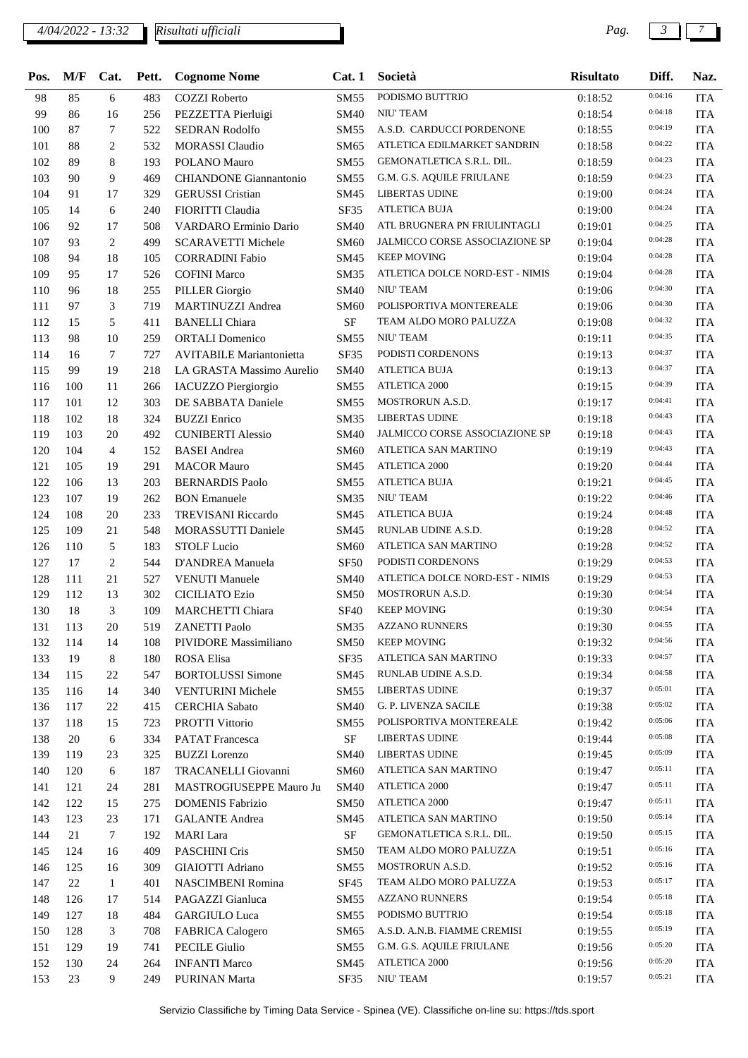### *4/04/2022 - 13:32 Pag. 3 7*

*Risultati ufficiali*

| Pos. | M/F       | Cat.            | Pett. | <b>Cognome Nome</b>             | Cat.1       | Società                         | <b>Risultato</b> | Diff.              | Naz.       |
|------|-----------|-----------------|-------|---------------------------------|-------------|---------------------------------|------------------|--------------------|------------|
| 98   | 85        | 6               | 483   | <b>COZZI</b> Roberto            | SM55        | PODISMO BUTTRIO                 | 0:18:52          | 0:04:16            | <b>ITA</b> |
| 99   | 86        | 16              | 256   | PEZZETTA Pierluigi              | SM40        | NIU' TEAM                       | 0:18:54          | 0:04:18            | <b>ITA</b> |
| 100  | 87        | 7               | 522   | SEDRAN Rodolfo                  | SM55        | A.S.D. CARDUCCI PORDENONE       | 0:18:55          | 0:04:19            | <b>ITA</b> |
| 101  | 88        | $\overline{c}$  | 532   | <b>MORASSI</b> Claudio          | SM65        | ATLETICA EDILMARKET SANDRIN     | 0:18:58          | 0:04:22            | <b>ITA</b> |
| 102  | 89        | 8               | 193   | POLANO Mauro                    | SM55        | GEMONATLETICA S.R.L. DIL.       | 0:18:59          | 0:04:23            | <b>ITA</b> |
| 103  | 90        | 9               | 469   | <b>CHIANDONE</b> Giannantonio   | SM55        | G.M. G.S. AQUILE FRIULANE       | 0:18:59          | 0:04:23            | <b>ITA</b> |
| 104  | 91        | 17              | 329   | <b>GERUSSI</b> Cristian         | SM45        | LIBERTAS UDINE                  | 0:19:00          | 0:04:24            | <b>ITA</b> |
| 105  | 14        | 6               | 240   | FIORITTI Claudia                | SF35        | <b>ATLETICA BUJA</b>            | 0:19:00          | 0:04:24            | <b>ITA</b> |
| 106  | 92        | 17              | 508   | VARDARO Erminio Dario           | SM40        | ATL BRUGNERA PN FRIULINTAGLI    | 0:19:01          | 0:04:25            | <b>ITA</b> |
| 107  | 93        | 2               | 499   | <b>SCARAVETTI Michele</b>       | SM60        | JALMICCO CORSE ASSOCIAZIONE SP  | 0:19:04          | 0:04:28            | <b>ITA</b> |
| 108  | 94        | 18              | 105   | <b>CORRADINI Fabio</b>          | SM45        | <b>KEEP MOVING</b>              | 0:19:04          | 0:04:28            | <b>ITA</b> |
| 109  | 95        | 17              | 526   | <b>COFINI Marco</b>             | SM35        | ATLETICA DOLCE NORD-EST - NIMIS | 0:19:04          | 0:04:28            | <b>ITA</b> |
| 110  | 96        | 18              | 255   | <b>PILLER</b> Giorgio           | SM40        | <b>NIU' TEAM</b>                | 0:19:06          | 0:04:30            | <b>ITA</b> |
| 111  | 97        | 3               | 719   | <b>MARTINUZZI Andrea</b>        | SM60        | POLISPORTIVA MONTEREALE         | 0:19:06          | 0:04:30            | <b>ITA</b> |
| 112  | 15        | 5               | 411   | <b>BANELLI</b> Chiara           | <b>SF</b>   | TEAM ALDO MORO PALUZZA          | 0:19:08          | 0:04:32            | <b>ITA</b> |
| 113  | 98        | 10              | 259   | <b>ORTALI</b> Domenico          | <b>SM55</b> | NIU' TEAM                       | 0:19:11          | 0:04:35            | <b>ITA</b> |
| 114  | 16        | 7               | 727   | <b>AVITABILE Mariantonietta</b> | SF35        | PODISTI CORDENONS               | 0:19:13          | 0:04:37            | <b>ITA</b> |
| 115  | 99        | 19              | 218   | LA GRASTA Massimo Aurelio       | SM40        | <b>ATLETICA BUJA</b>            | 0:19:13          | 0:04:37            | <b>ITA</b> |
| 116  | 100       | 11              | 266   | <b>IACUZZO Piergiorgio</b>      | SM55        | ATLETICA 2000                   | 0:19:15          | 0:04:39            | <b>ITA</b> |
| 117  | 101       | 12              | 303   | DE SABBATA Daniele              | SM55        | MOSTRORUN A.S.D.                | 0:19:17          | 0:04:41            | <b>ITA</b> |
| 118  | 102       | 18              | 324   | <b>BUZZI</b> Enrico             | SM35        | <b>LIBERTAS UDINE</b>           | 0:19:18          | 0:04:43            | <b>ITA</b> |
| 119  | 103       | 20              | 492   | <b>CUNIBERTI Alessio</b>        | SM40        | JALMICCO CORSE ASSOCIAZIONE SP  | 0:19:18          | 0:04:43            | <b>ITA</b> |
| 120  | 104       | $\overline{4}$  | 152   | <b>BASEI</b> Andrea             | SM60        | ATLETICA SAN MARTINO            | 0:19:19          | 0:04:43            | <b>ITA</b> |
| 121  | 105       | 19              | 291   | <b>MACOR Mauro</b>              | SM45        | <b>ATLETICA 2000</b>            | 0:19:20          | 0:04:44            | <b>ITA</b> |
| 122  | 106       | 13              | 203   | <b>BERNARDIS Paolo</b>          | SM55        | <b>ATLETICA BUJA</b>            | 0:19:21          | 0:04:45            | <b>ITA</b> |
| 123  | 107       | 19              | 262   | <b>BON</b> Emanuele             | SM35        | NIU' TEAM                       | 0:19:22          | 0:04:46            | <b>ITA</b> |
| 124  | 108       | 20              | 233   | <b>TREVISANI Riccardo</b>       | SM45        | <b>ATLETICA BUJA</b>            | 0:19:24          | 0:04:48            | <b>ITA</b> |
| 125  | 109       | 21              | 548   | <b>MORASSUTTI Daniele</b>       | SM45        | RUNLAB UDINE A.S.D.             | 0:19:28          | 0:04:52            | <b>ITA</b> |
| 126  | 110       | 5               | 183   | <b>STOLF Lucio</b>              | SM60        | ATLETICA SAN MARTINO            | 0:19:28          | 0:04:52            | <b>ITA</b> |
| 127  | 17        | $\overline{c}$  | 544   | D'ANDREA Manuela                | <b>SF50</b> | PODISTI CORDENONS               | 0:19:29          | 0:04:53            | <b>ITA</b> |
| 128  | 111       | 21              | 527   | <b>VENUTI Manuele</b>           | SM40        | ATLETICA DOLCE NORD-EST - NIMIS | 0:19:29          | 0:04:53            | <b>ITA</b> |
| 129  | 112       | 13              | 302   | <b>CICILIATO Ezio</b>           | <b>SM50</b> | MOSTRORUN A.S.D.                | 0:19:30          | 0:04:54            | <b>ITA</b> |
| 130  | 18        | 3               | 109   | <b>MARCHETTI Chiara</b>         | <b>SF40</b> | <b>KEEP MOVING</b>              | 0:19:30          | 0:04:54            | <b>ITA</b> |
| 131  | 113       | 20              | 519   | <b>ZANETTI Paolo</b>            |             | SM35 AZZANO RUNNERS             | 0:19:30          | 0:04:55            | <b>ITA</b> |
| 132  | 114       | 14              | 108   | PIVIDORE Massimiliano           | SM50        | <b>KEEP MOVING</b>              | 0:19:32          | 0:04:56            | <b>ITA</b> |
| 133  | 19        | 8               | 180   | ROSA Elisa                      | SF35        | ATLETICA SAN MARTINO            | 0:19:33          | 0:04:57            | <b>ITA</b> |
| 134  | 115       | 22              | 547   | <b>BORTOLUSSI</b> Simone        | SM45        | RUNLAB UDINE A.S.D.             | 0:19:34          | 0:04:58            | <b>ITA</b> |
| 135  | 116       | 14              | 340   | <b>VENTURINI Michele</b>        | SM55        | <b>LIBERTAS UDINE</b>           | 0:19:37          | 0:05:01            | <b>ITA</b> |
| 136  | 117       | 22              | 415   | <b>CERCHIA</b> Sabato           | SM40        | G. P. LIVENZA SACILE            | 0:19:38          | 0:05:02            | <b>ITA</b> |
|      |           |                 |       | PROTTI Vittorio                 |             | POLISPORTIVA MONTEREALE         |                  | 0:05:06            |            |
| 137  | 118<br>20 | 15<br>6         | 723   |                                 | SM55        | <b>LIBERTAS UDINE</b>           | 0:19:42          | 0:05:08            | <b>ITA</b> |
| 138  |           |                 | 334   | <b>PATAT</b> Francesca          | SF<br>SM40  | <b>LIBERTAS UDINE</b>           | 0:19:44          | 0:05:09            | <b>ITA</b> |
| 139  | 119       | 23              | 325   | <b>BUZZI</b> Lorenzo            |             | ATLETICA SAN MARTINO            | 0:19:45          | 0:05:11            | <b>ITA</b> |
| 140  | 120       | 6               | 187   | TRACANELLI Giovanni             | SM60        | <b>ATLETICA 2000</b>            | 0:19:47          | 0:05:11            | <b>ITA</b> |
| 141  | 121       | 24              | 281   | MASTROGIUSEPPE Mauro Ju         | <b>SM40</b> | ATLETICA 2000                   | 0:19:47          | 0:05:11            | <b>ITA</b> |
| 142  | 122       | 15              | 275   | <b>DOMENIS Fabrizio</b>         | SM50        | ATLETICA SAN MARTINO            | 0:19:47          | 0:05:14            | <b>ITA</b> |
| 143  | 123       | 23              | 171   | <b>GALANTE</b> Andrea           | SM45        |                                 | 0:19:50          | 0:05:15            | <b>ITA</b> |
| 144  | 21        | $7\phantom{.0}$ | 192   | <b>MARI</b> Lara                | SF          | GEMONATLETICA S.R.L. DIL.       | 0:19:50          | 0:05:16            | <b>ITA</b> |
| 145  | 124       | 16              | 409   | PASCHINI Cris                   | <b>SM50</b> | TEAM ALDO MORO PALUZZA          | 0:19:51          | 0:05:16            | <b>ITA</b> |
| 146  | 125       | 16              | 309   | <b>GIAIOTTI Adriano</b>         | SM55        | MOSTRORUN A.S.D.                | 0:19:52          |                    | <b>ITA</b> |
| 147  | 22        | 1               | 401   | NASCIMBENI Romina               | SF45        | TEAM ALDO MORO PALUZZA          | 0:19:53          | 0:05:17            | <b>ITA</b> |
| 148  | 126       | 17              | 514   | PAGAZZI Gianluca                | SM55        | <b>AZZANO RUNNERS</b>           | 0:19:54          | 0:05:18<br>0:05:18 | <b>ITA</b> |
| 149  | 127       | 18              | 484   | <b>GARGIULO Luca</b>            | SM55        | PODISMO BUTTRIO                 | 0:19:54          |                    | <b>ITA</b> |
| 150  | 128       | 3               | 708   | <b>FABRICA Calogero</b>         | SM65        | A.S.D. A.N.B. FIAMME CREMISI    | 0:19:55          | 0:05:19            | <b>ITA</b> |
| 151  | 129       | 19              | 741   | <b>PECILE Giulio</b>            | SM55        | G.M. G.S. AQUILE FRIULANE       | 0:19:56          | 0:05:20            | <b>ITA</b> |
| 152  | 130       | 24              | 264   | <b>INFANTI Marco</b>            | SM45        | ATLETICA 2000                   | 0:19:56          | 0:05:20            | <b>ITA</b> |
| 153  | 23        | 9               | 249   | <b>PURINAN Marta</b>            | SF35        | NIU' TEAM                       | 0:19:57          | 0:05:21            | <b>ITA</b> |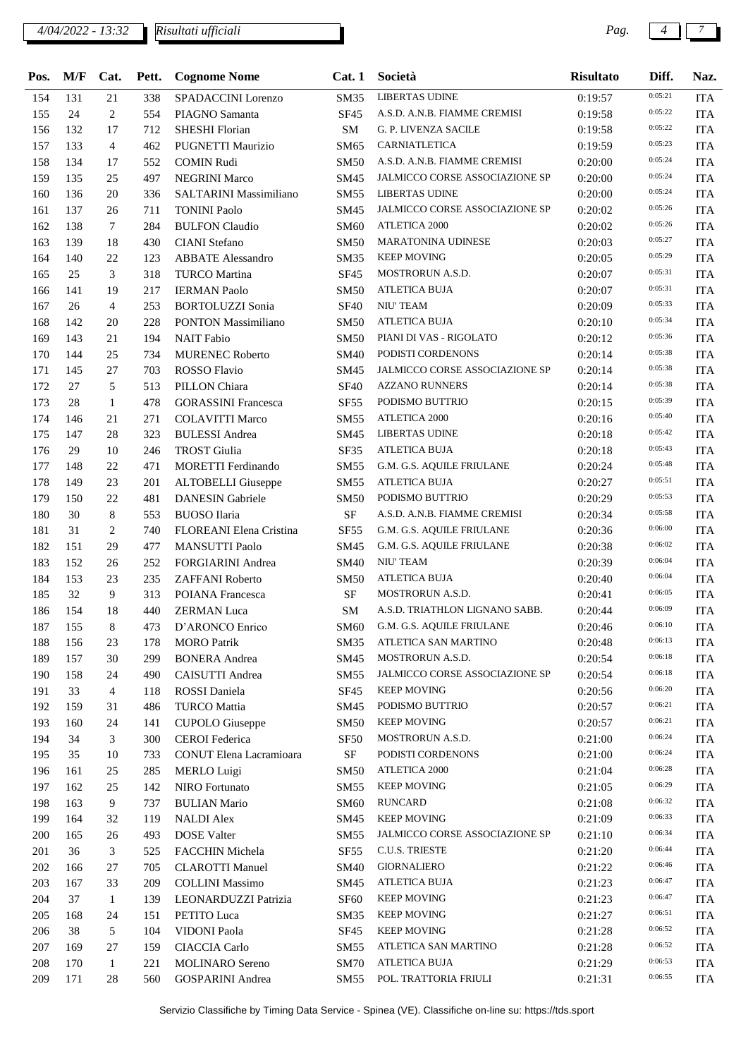### *4/04/2022 - 13:32 Pag. 4 7*

*Risultati ufficiali*

| Pos. | M/F | Cat.         | Pett. | <b>Cognome Nome</b>        | Cat.1            | Società                               | <b>Risultato</b> | Diff.   | Naz.       |
|------|-----|--------------|-------|----------------------------|------------------|---------------------------------------|------------------|---------|------------|
| 154  | 131 | 21           | 338   | SPADACCINI Lorenzo         | SM35             | <b>LIBERTAS UDINE</b>                 | 0:19:57          | 0:05:21 | <b>ITA</b> |
| 155  | 24  | 2            | 554   | PIAGNO Samanta             | <b>SF45</b>      | A.S.D. A.N.B. FIAMME CREMISI          | 0:19:58          | 0:05:22 | <b>ITA</b> |
| 156  | 132 | 17           | 712   | <b>SHESHI Florian</b>      | SM               | <b>G. P. LIVENZA SACILE</b>           | 0:19:58          | 0:05:22 | <b>ITA</b> |
| 157  | 133 | 4            | 462   | PUGNETTI Maurizio          | SM65             | CARNIATLETICA                         | 0:19:59          | 0:05:23 | <b>ITA</b> |
| 158  | 134 | 17           | 552   | <b>COMIN Rudi</b>          | <b>SM50</b>      | A.S.D. A.N.B. FIAMME CREMISI          | 0:20:00          | 0:05:24 | <b>ITA</b> |
| 159  | 135 | 25           | 497   | <b>NEGRINI Marco</b>       | SM45             | JALMICCO CORSE ASSOCIAZIONE SP        | 0:20:00          | 0:05:24 | <b>ITA</b> |
| 160  | 136 | 20           | 336   | SALTARINI Massimiliano     | SM55             | <b>LIBERTAS UDINE</b>                 | 0:20:00          | 0:05:24 | <b>ITA</b> |
| 161  | 137 | 26           | 711   | <b>TONINI Paolo</b>        | SM45             | JALMICCO CORSE ASSOCIAZIONE SP        | 0:20:02          | 0:05:26 | <b>ITA</b> |
| 162  | 138 | $\tau$       | 284   | <b>BULFON Claudio</b>      | <b>SM60</b>      | <b>ATLETICA 2000</b>                  | 0:20:02          | 0:05:26 | <b>ITA</b> |
| 163  | 139 | 18           | 430   | CIANI Stefano              | <b>SM50</b>      | <b>MARATONINA UDINESE</b>             | 0:20:03          | 0:05:27 | <b>ITA</b> |
| 164  | 140 | 22           | 123   | <b>ABBATE</b> Alessandro   | <b>SM35</b>      | <b>KEEP MOVING</b>                    | 0:20:05          | 0:05:29 | <b>ITA</b> |
| 165  | 25  | 3            | 318   | <b>TURCO</b> Martina       | <b>SF45</b>      | MOSTRORUN A.S.D.                      | 0:20:07          | 0:05:31 | <b>ITA</b> |
| 166  | 141 | 19           | 217   | <b>IERMAN Paolo</b>        | <b>SM50</b>      | <b>ATLETICA BUJA</b>                  | 0:20:07          | 0:05:31 | <b>ITA</b> |
| 167  | 26  | 4            | 253   | <b>BORTOLUZZI</b> Sonia    | <b>SF40</b>      | NIU' TEAM                             | 0:20:09          | 0:05:33 | <b>ITA</b> |
| 168  | 142 | 20           | 228   | <b>PONTON Massimiliano</b> | <b>SM50</b>      | <b>ATLETICA BUJA</b>                  | 0:20:10          | 0:05:34 | <b>ITA</b> |
| 169  | 143 | 21           | 194   | <b>NAIT</b> Fabio          | SM50             | PIANI DI VAS - RIGOLATO               | 0:20:12          | 0:05:36 | <b>ITA</b> |
| 170  | 144 | 25           | 734   | <b>MURENEC Roberto</b>     | <b>SM40</b>      | PODISTI CORDENONS                     | 0:20:14          | 0:05:38 | <b>ITA</b> |
| 171  | 145 | 27           | 703   | <b>ROSSO Flavio</b>        | SM45             | <b>JALMICCO CORSE ASSOCIAZIONE SP</b> | 0:20:14          | 0:05:38 | <b>ITA</b> |
| 172  | 27  | 5            | 513   | PILLON Chiara              | <b>SF40</b>      | <b>AZZANO RUNNERS</b>                 | 0:20:14          | 0:05:38 | <b>ITA</b> |
| 173  | 28  | $\mathbf{1}$ | 478   | <b>GORASSINI</b> Francesca | SF55             | PODISMO BUTTRIO                       | 0:20:15          | 0:05:39 | <b>ITA</b> |
| 174  | 146 | 21           | 271   | <b>COLAVITTI Marco</b>     | <b>SM55</b>      | <b>ATLETICA 2000</b>                  | 0:20:16          | 0:05:40 | <b>ITA</b> |
| 175  | 147 | 28           | 323   | <b>BULESSI</b> Andrea      | SM45             | <b>LIBERTAS UDINE</b>                 | 0:20:18          | 0:05:42 | <b>ITA</b> |
| 176  | 29  | 10           | 246   | <b>TROST</b> Giulia        | SF35             | ATLETICA BUJA                         | 0:20:18          | 0:05:43 | <b>ITA</b> |
| 177  | 148 | 22           | 471   | MORETTI Ferdinando         | SM55             | G.M. G.S. AQUILE FRIULANE             | 0:20:24          | 0:05:48 | <b>ITA</b> |
| 178  | 149 | 23           | 201   | <b>ALTOBELLI</b> Giuseppe  | SM55             | <b>ATLETICA BUJA</b>                  | 0:20:27          | 0:05:51 | <b>ITA</b> |
| 179  | 150 | 22           | 481   | <b>DANESIN</b> Gabriele    | <b>SM50</b>      | PODISMO BUTTRIO                       |                  | 0:05:53 | <b>ITA</b> |
|      |     |              |       |                            |                  | A.S.D. A.N.B. FIAMME CREMISI          | 0:20:29          | 0:05:58 |            |
| 180  | 30  | 8            | 553   | <b>BUOSO</b> Ilaria        | SF               | G.M. G.S. AQUILE FRIULANE             | 0:20:34          | 0:06:00 | <b>ITA</b> |
| 181  | 31  | 2            | 740   | FLOREANI Elena Cristina    | <b>SF55</b>      |                                       | 0:20:36          | 0:06:02 | <b>ITA</b> |
| 182  | 151 | 29           | 477   | <b>MANSUTTI Paolo</b>      | SM45             | G.M. G.S. AQUILE FRIULANE             | 0:20:38          | 0:06:04 | <b>ITA</b> |
| 183  | 152 | 26           | 252   | <b>FORGIARINI</b> Andrea   | <b>SM40</b>      | NIU' TEAM                             | 0:20:39          | 0:06:04 | <b>ITA</b> |
| 184  | 153 | 23           | 235   | ZAFFANI Roberto            | <b>SM50</b>      | <b>ATLETICA BUJA</b>                  | 0:20:40          | 0:06:05 | <b>ITA</b> |
| 185  | 32  | 9            | 313   | POIANA Francesca           | <b>SF</b>        | MOSTRORUN A.S.D.                      | 0:20:41          | 0:06:09 | <b>ITA</b> |
| 186  | 154 | 18           | 440   | <b>ZERMAN Luca</b>         | SM               | A.S.D. TRIATHLON LIGNANO SABB.        | 0:20:44          |         | <b>ITA</b> |
| 187  | 155 | $\,8\,$      | 473   | D'ARONCO Enrico            |                  | SM60 G.M. G.S. AQUILE FRIULANE        | 0:20:46          | 0:06:10 | <b>ITA</b> |
| 188  | 156 | 23           | 178   | <b>MORO</b> Patrik         | SM35             | ATLETICA SAN MARTINO                  | 0:20:48          | 0:06:13 | <b>ITA</b> |
| 189  | 157 | 30           | 299   | <b>BONERA</b> Andrea       | SM45             | MOSTRORUN A.S.D.                      | 0:20:54          | 0:06:18 | <b>ITA</b> |
| 190  | 158 | 24           | 490   | CAISUTTI Andrea            | SM55             | JALMICCO CORSE ASSOCIAZIONE SP        | 0:20:54          | 0:06:18 | <b>ITA</b> |
| 191  | 33  | 4            | 118   | ROSSI Daniela              | SF <sub>45</sub> | <b>KEEP MOVING</b>                    | 0:20:56          | 0:06:20 | <b>ITA</b> |
| 192  | 159 | 31           | 486   | <b>TURCO Mattia</b>        | SM45             | PODISMO BUTTRIO                       | 0:20:57          | 0:06:21 | <b>ITA</b> |
| 193  | 160 | 24           | 141   | <b>CUPOLO</b> Giuseppe     | <b>SM50</b>      | <b>KEEP MOVING</b>                    | 0:20:57          | 0:06:21 | <b>ITA</b> |
| 194  | 34  | 3            | 300   | <b>CEROI</b> Federica      | SF <sub>50</sub> | MOSTRORUN A.S.D.                      | 0:21:00          | 0:06:24 | <b>ITA</b> |
| 195  | 35  | 10           | 733   | CONUT Elena Lacramioara    | $\rm{SF}$        | PODISTI CORDENONS                     | 0:21:00          | 0:06:24 | <b>ITA</b> |
| 196  | 161 | 25           | 285   | <b>MERLO Luigi</b>         | <b>SM50</b>      | ATLETICA 2000                         | 0:21:04          | 0:06:28 | <b>ITA</b> |
| 197  | 162 | 25           | 142   | <b>NIRO</b> Fortunato      | SM55             | <b>KEEP MOVING</b>                    | 0:21:05          | 0:06:29 | <b>ITA</b> |
| 198  | 163 | 9            | 737   | <b>BULIAN Mario</b>        | SM60             | <b>RUNCARD</b>                        | 0:21:08          | 0:06:32 | <b>ITA</b> |
| 199  | 164 | 32           | 119   | <b>NALDI Alex</b>          | SM45             | <b>KEEP MOVING</b>                    | 0:21:09          | 0:06:33 | <b>ITA</b> |
| 200  | 165 | 26           | 493   | <b>DOSE</b> Valter         | SM55             | JALMICCO CORSE ASSOCIAZIONE SP        | 0:21:10          | 0:06:34 | <b>ITA</b> |
| 201  | 36  | 3            | 525   | <b>FACCHIN Michela</b>     | SF55             | C.U.S. TRIESTE                        | 0:21:20          | 0:06:44 | <b>ITA</b> |
| 202  | 166 | 27           | 705   | <b>CLAROTTI Manuel</b>     | <b>SM40</b>      | <b>GIORNALIERO</b>                    | 0:21:22          | 0:06:46 | <b>ITA</b> |
| 203  | 167 | 33           | 209   | <b>COLLINI Massimo</b>     | SM45             | ATLETICA BUJA                         | 0:21:23          | 0:06:47 | <b>ITA</b> |
| 204  | 37  | $\mathbf{1}$ | 139   | LEONARDUZZI Patrizia       | SF <sub>60</sub> | <b>KEEP MOVING</b>                    | 0:21:23          | 0:06:47 | <b>ITA</b> |
| 205  | 168 | 24           | 151   | PETITO Luca                | SM35             | <b>KEEP MOVING</b>                    | 0:21:27          | 0:06:51 | <b>ITA</b> |
| 206  | 38  | 5            | 104   | VIDONI Paola               | SF <sub>45</sub> | <b>KEEP MOVING</b>                    | 0:21:28          | 0:06:52 | <b>ITA</b> |
| 207  | 169 | 27           | 159   | CIACCIA Carlo              | SM55             | ATLETICA SAN MARTINO                  | 0:21:28          | 0:06:52 | <b>ITA</b> |
| 208  | 170 | 1            | 221   | <b>MOLINARO</b> Sereno     | <b>SM70</b>      | <b>ATLETICA BUJA</b>                  | 0:21:29          | 0:06:53 | <b>ITA</b> |
| 209  | 171 | 28           | 560   | <b>GOSPARINI</b> Andrea    | SM55             | POL. TRATTORIA FRIULI                 | 0:21:31          | 0:06:55 | <b>ITA</b> |

Servizio Classifiche by Timing Data Service - Spinea (VE). Classifiche on-line su: https://tds.sport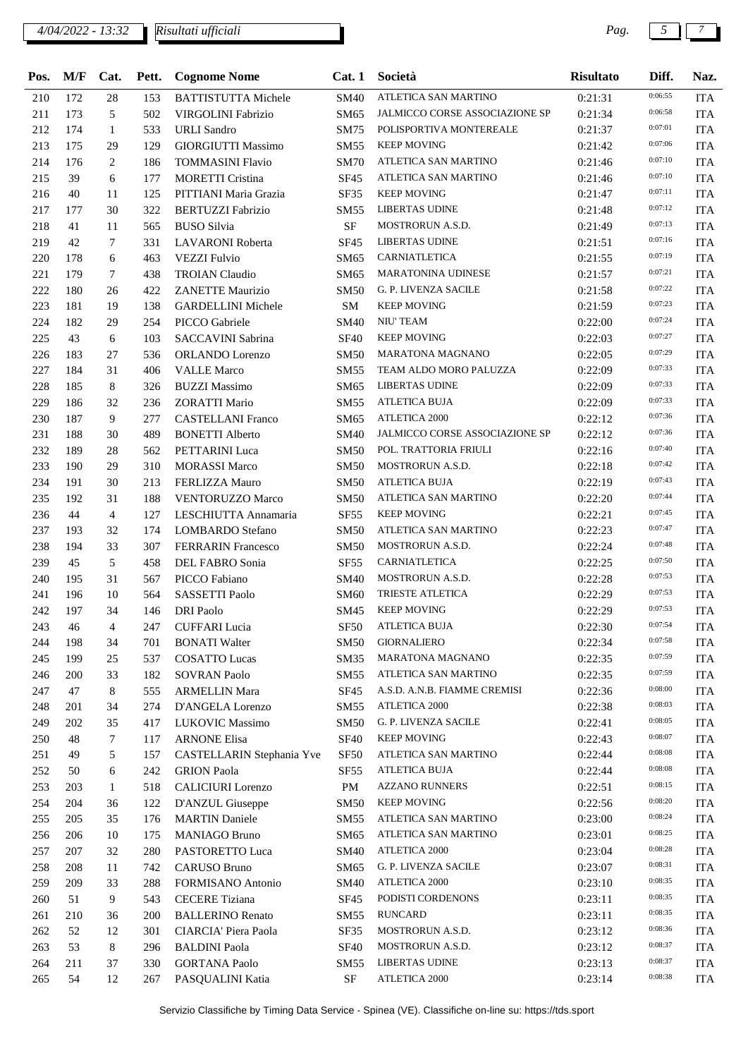### *4/04/2022 - 13:32 Pag. 5 7*

*Risultati ufficiali*

| Pos. | $\mathbf{M}/\mathbf{F}$ | Cat.           |     | Pett. Cognome Nome         | Cat.1            | Società                               | <b>Risultato</b> | Diff.   | Naz.       |
|------|-------------------------|----------------|-----|----------------------------|------------------|---------------------------------------|------------------|---------|------------|
| 210  | 172                     | 28             | 153 | <b>BATTISTUTTA Michele</b> | <b>SM40</b>      | ATLETICA SAN MARTINO                  | 0:21:31          | 0:06:55 | <b>ITA</b> |
| 211  | 173                     | 5              | 502 | VIRGOLINI Fabrizio         | SM65             | JALMICCO CORSE ASSOCIAZIONE SP        | 0:21:34          | 0:06:58 | <b>ITA</b> |
| 212  | 174                     | 1              | 533 | <b>URLI</b> Sandro         | SM75             | POLISPORTIVA MONTEREALE               | 0:21:37          | 0:07:01 | <b>ITA</b> |
| 213  | 175                     | 29             | 129 | <b>GIORGIUTTI Massimo</b>  | SM55             | <b>KEEP MOVING</b>                    | 0:21:42          | 0:07:06 | <b>ITA</b> |
| 214  | 176                     | 2              | 186 | <b>TOMMASINI Flavio</b>    | <b>SM70</b>      | ATLETICA SAN MARTINO                  | 0:21:46          | 0:07:10 | <b>ITA</b> |
| 215  | 39                      | 6              | 177 | <b>MORETTI Cristina</b>    | <b>SF45</b>      | ATLETICA SAN MARTINO                  | 0:21:46          | 0:07:10 | <b>ITA</b> |
| 216  | 40                      | 11             | 125 | PITTIANI Maria Grazia      | SF35             | <b>KEEP MOVING</b>                    | 0:21:47          | 0:07:11 | <b>ITA</b> |
| 217  | 177                     | 30             | 322 | <b>BERTUZZI Fabrizio</b>   | SM55             | <b>LIBERTAS UDINE</b>                 | 0:21:48          | 0:07:12 | <b>ITA</b> |
| 218  | 41                      | 11             | 565 | <b>BUSO Silvia</b>         | <b>SF</b>        | MOSTRORUN A.S.D.                      | 0:21:49          | 0:07:13 | <b>ITA</b> |
| 219  | 42                      | 7              | 331 | <b>LAVARONI</b> Roberta    | SF45             | <b>LIBERTAS UDINE</b>                 | 0:21:51          | 0:07:16 | <b>ITA</b> |
| 220  | 178                     | 6              | 463 | <b>VEZZI Fulvio</b>        | SM65             | CARNIATLETICA                         | 0:21:55          | 0:07:19 | <b>ITA</b> |
| 221  | 179                     | 7              | 438 | <b>TROIAN</b> Claudio      | SM65             | <b>MARATONINA UDINESE</b>             | 0:21:57          | 0:07:21 | <b>ITA</b> |
| 222  | 180                     | 26             | 422 | <b>ZANETTE Maurizio</b>    | <b>SM50</b>      | G. P. LIVENZA SACILE                  | 0:21:58          | 0:07:22 | <b>ITA</b> |
| 223  | 181                     | 19             | 138 | <b>GARDELLINI Michele</b>  | SM               | <b>KEEP MOVING</b>                    | 0:21:59          | 0:07:23 | <b>ITA</b> |
| 224  | 182                     | 29             | 254 | PICCO Gabriele             | <b>SM40</b>      | NIU' TEAM                             | 0:22:00          | 0:07:24 | <b>ITA</b> |
| 225  | 43                      | 6              | 103 | <b>SACCAVINI Sabrina</b>   | <b>SF40</b>      | <b>KEEP MOVING</b>                    | 0:22:03          | 0:07:27 | <b>ITA</b> |
| 226  | 183                     | 27             | 536 | ORLANDO Lorenzo            | SM50             | <b>MARATONA MAGNANO</b>               | 0:22:05          | 0:07:29 | <b>ITA</b> |
| 227  | 184                     | 31             | 406 | <b>VALLE Marco</b>         | SM55             | TEAM ALDO MORO PALUZZA                | 0:22:09          | 0:07:33 | <b>ITA</b> |
| 228  | 185                     | 8              | 326 | <b>BUZZI Massimo</b>       | SM65             | <b>LIBERTAS UDINE</b>                 | 0:22:09          | 0:07:33 | <b>ITA</b> |
| 229  | 186                     | 32             | 236 | <b>ZORATTI Mario</b>       | SM55             | <b>ATLETICA BUJA</b>                  |                  | 0:07:33 | <b>ITA</b> |
|      |                         |                |     |                            |                  | <b>ATLETICA 2000</b>                  | 0:22:09          | 0:07:36 |            |
| 230  | 187                     | 9              | 277 | <b>CASTELLANI Franco</b>   | SM65             | <b>JALMICCO CORSE ASSOCIAZIONE SP</b> | 0:22:12          | 0:07:36 | <b>ITA</b> |
| 231  | 188                     | 30             | 489 | <b>BONETTI Alberto</b>     | SM40             |                                       | 0:22:12          | 0:07:40 | <b>ITA</b> |
| 232  | 189                     | 28             | 562 | PETTARINI Luca             | <b>SM50</b>      | POL. TRATTORIA FRIULI                 | 0:22:16          | 0:07:42 | <b>ITA</b> |
| 233  | 190                     | 29             | 310 | <b>MORASSI Marco</b>       | SM50             | MOSTRORUN A.S.D.                      | 0:22:18          | 0:07:43 | <b>ITA</b> |
| 234  | 191                     | 30             | 213 | FERLIZZA Mauro             | <b>SM50</b>      | <b>ATLETICA BUJA</b>                  | 0:22:19          | 0:07:44 | <b>ITA</b> |
| 235  | 192                     | 31             | 188 | VENTORUZZO Marco           | SM50             | ATLETICA SAN MARTINO                  | 0:22:20          |         | <b>ITA</b> |
| 236  | 44                      | $\overline{4}$ | 127 | LESCHIUTTA Annamaria       | SF <sub>55</sub> | <b>KEEP MOVING</b>                    | 0:22:21          | 0:07:45 | <b>ITA</b> |
| 237  | 193                     | 32             | 174 | <b>LOMBARDO</b> Stefano    | SM50             | ATLETICA SAN MARTINO                  | 0:22:23          | 0:07:47 | <b>ITA</b> |
| 238  | 194                     | 33             | 307 | <b>FERRARIN Francesco</b>  | <b>SM50</b>      | MOSTRORUN A.S.D.                      | 0:22:24          | 0:07:48 | <b>ITA</b> |
| 239  | 45                      | 5              | 458 | DEL FABRO Sonia            | SF55             | CARNIATLETICA                         | 0:22:25          | 0:07:50 | <b>ITA</b> |
| 240  | 195                     | 31             | 567 | PICCO Fabiano              | SM40             | MOSTRORUN A.S.D.                      | 0:22:28          | 0:07:53 | <b>ITA</b> |
| 241  | 196                     | 10             | 564 | SASSETTI Paolo             | SM60             | TRIESTE ATLETICA                      | 0:22:29          | 0:07:53 | <b>ITA</b> |
| 242  | 197                     | 34             | 146 | <b>DRI</b> Paolo           | SM45             | <b>KEEP MOVING</b>                    | 0:22:29          | 0:07:53 | <b>ITA</b> |
| 243  | 46                      | $\overline{4}$ | 247 | <b>CUFFARI</b> Lucia       |                  | SF50 ATLETICA BUJA                    | 0:22:30          | 0:07:54 | <b>ITA</b> |
| 244  | 198                     | 34             | 701 | <b>BONATI Walter</b>       | <b>SM50</b>      | <b>GIORNALIERO</b>                    | 0:22:34          | 0:07:58 | <b>ITA</b> |
| 245  | 199                     | 25             | 537 | <b>COSATTO Lucas</b>       | SM35             | <b>MARATONA MAGNANO</b>               | 0:22:35          | 0:07:59 | <b>ITA</b> |
| 246  | 200                     | 33             | 182 | <b>SOVRAN Paolo</b>        | SM55             | ATLETICA SAN MARTINO                  | 0:22:35          | 0:07:59 | <b>ITA</b> |
| 247  | 47                      | 8              | 555 | <b>ARMELLIN Mara</b>       | SF45             | A.S.D. A.N.B. FIAMME CREMISI          | 0:22:36          | 0:08:00 | <b>ITA</b> |
| 248  | 201                     | 34             | 274 | D'ANGELA Lorenzo           | SM55             | <b>ATLETICA 2000</b>                  | 0:22:38          | 0:08:03 | <b>ITA</b> |
| 249  | 202                     | 35             | 417 | LUKOVIC Massimo            | <b>SM50</b>      | G. P. LIVENZA SACILE                  | 0:22:41          | 0:08:05 | <b>ITA</b> |
| 250  | 48                      | 7              | 117 | <b>ARNONE Elisa</b>        | <b>SF40</b>      | <b>KEEP MOVING</b>                    | 0:22:43          | 0:08:07 | <b>ITA</b> |
| 251  | 49                      | 5              | 157 | CASTELLARIN Stephania Yve  | <b>SF50</b>      | ATLETICA SAN MARTINO                  | 0:22:44          | 0:08:08 | <b>ITA</b> |
| 252  | 50                      | 6              | 242 | <b>GRION</b> Paola         | SF55             | <b>ATLETICA BUJA</b>                  | 0:22:44          | 0:08:08 | <b>ITA</b> |
| 253  | 203                     | $\mathbf{1}$   | 518 | CALICIURI Lorenzo          | PM               | <b>AZZANO RUNNERS</b>                 | 0:22:51          | 0:08:15 | <b>ITA</b> |
| 254  | 204                     | 36             | 122 | D'ANZUL Giuseppe           | <b>SM50</b>      | <b>KEEP MOVING</b>                    | 0:22:56          | 0:08:20 | ITA        |
| 255  | 205                     | 35             | 176 | <b>MARTIN Daniele</b>      | SM55             | ATLETICA SAN MARTINO                  | 0:23:00          | 0:08:24 | <b>ITA</b> |
| 256  | 206                     | 10             | 175 | <b>MANIAGO Bruno</b>       | SM65             | ATLETICA SAN MARTINO                  | 0:23:01          | 0:08:25 | <b>ITA</b> |
| 257  | 207                     | 32             | 280 | PASTORETTO Luca            | SM40             | ATLETICA 2000                         | 0:23:04          | 0:08:28 | <b>ITA</b> |
| 258  | 208                     | 11             | 742 | CARUSO Bruno               | SM65             | G. P. LIVENZA SACILE                  | 0:23:07          | 0:08:31 | <b>ITA</b> |
| 259  | 209                     | 33             | 288 | FORMISANO Antonio          | SM40             | ATLETICA 2000                         | 0:23:10          | 0:08:35 | <b>ITA</b> |
| 260  | 51                      | 9              | 543 | <b>CECERE</b> Tiziana      | SF <sub>45</sub> | PODISTI CORDENONS                     | 0:23:11          | 0:08:35 | <b>ITA</b> |
| 261  | 210                     | 36             | 200 | <b>BALLERINO Renato</b>    | SM55             | <b>RUNCARD</b>                        | 0:23:11          | 0:08:35 | <b>ITA</b> |
| 262  | 52                      | 12             | 301 | CIARCIA' Piera Paola       | SF35             | MOSTRORUN A.S.D.                      | 0:23:12          | 0:08:36 | <b>ITA</b> |
| 263  | 53                      | 8              | 296 | <b>BALDINI</b> Paola       | <b>SF40</b>      | MOSTRORUN A.S.D.                      | 0:23:12          | 0:08:37 | <b>ITA</b> |
| 264  | 211                     | 37             | 330 | <b>GORTANA Paolo</b>       | SM55             | <b>LIBERTAS UDINE</b>                 | 0:23:13          | 0:08:37 | <b>ITA</b> |
| 265  | 54                      | 12             | 267 | PASQUALINI Katia           | $\rm SF$         | ATLETICA 2000                         | 0:23:14          | 0:08:38 | <b>ITA</b> |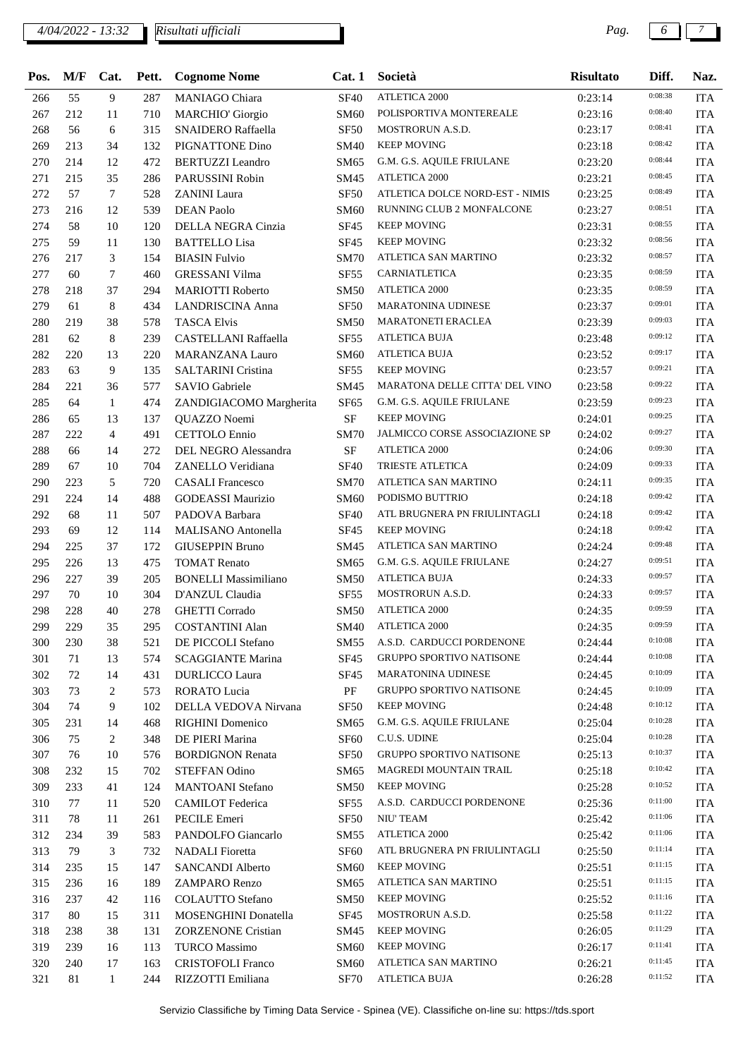*4/04/2022 - 13:32 Pag. 6 7*

*Risultati ufficiali*

| Pos. | M/F | Cat.           | Pett. | <b>Cognome Nome</b>                     | Cat.1            | Società                               | <b>Risultato</b> | Diff.   | Naz.       |
|------|-----|----------------|-------|-----------------------------------------|------------------|---------------------------------------|------------------|---------|------------|
| 266  | 55  | 9              | 287   | MANIAGO Chiara                          | <b>SF40</b>      | <b>ATLETICA 2000</b>                  | 0:23:14          | 0:08:38 | <b>ITA</b> |
| 267  | 212 | 11             | 710   | <b>MARCHIO' Giorgio</b>                 | <b>SM60</b>      | POLISPORTIVA MONTEREALE               | 0:23:16          | 0:08:40 | <b>ITA</b> |
| 268  | 56  | 6              | 315   | <b>SNAIDERO Raffaella</b>               | <b>SF50</b>      | <b>MOSTRORUN A.S.D.</b>               | 0:23:17          | 0:08:41 | <b>ITA</b> |
| 269  | 213 | 34             | 132   | PIGNATTONE Dino                         | <b>SM40</b>      | <b>KEEP MOVING</b>                    | 0:23:18          | 0:08:42 | <b>ITA</b> |
| 270  | 214 | 12             | 472   | <b>BERTUZZI</b> Leandro                 | SM65             | G.M. G.S. AQUILE FRIULANE             | 0:23:20          | 0:08:44 | <b>ITA</b> |
| 271  | 215 | 35             | 286   | PARUSSINI Robin                         | SM45             | <b>ATLETICA 2000</b>                  | 0:23:21          | 0:08:45 | <b>ITA</b> |
| 272  | 57  | 7              | 528   | <b>ZANINI</b> Laura                     | <b>SF50</b>      | ATLETICA DOLCE NORD-EST - NIMIS       | 0:23:25          | 0:08:49 | <b>ITA</b> |
| 273  | 216 | 12             | 539   | <b>DEAN Paolo</b>                       | <b>SM60</b>      | RUNNING CLUB 2 MONFALCONE             | 0:23:27          | 0:08:51 | <b>ITA</b> |
| 274  | 58  | 10             | 120   | DELLA NEGRA Cinzia                      | <b>SF45</b>      | <b>KEEP MOVING</b>                    | 0:23:31          | 0:08:55 | <b>ITA</b> |
| 275  | 59  | 11             | 130   | <b>BATTELLO Lisa</b>                    | <b>SF45</b>      | <b>KEEP MOVING</b>                    | 0:23:32          | 0:08:56 | <b>ITA</b> |
| 276  | 217 | 3              | 154   | <b>BIASIN Fulvio</b>                    | <b>SM70</b>      | ATLETICA SAN MARTINO                  | 0:23:32          | 0:08:57 | <b>ITA</b> |
| 277  | 60  | 7              | 460   | <b>GRESSANI Vilma</b>                   | <b>SF55</b>      | CARNIATLETICA                         | 0:23:35          | 0:08:59 | <b>ITA</b> |
| 278  | 218 | 37             | 294   | <b>MARIOTTI Roberto</b>                 | <b>SM50</b>      | <b>ATLETICA 2000</b>                  | 0:23:35          | 0:08:59 | <b>ITA</b> |
| 279  | 61  | 8              | 434   | <b>LANDRISCINA Anna</b>                 | <b>SF50</b>      | <b>MARATONINA UDINESE</b>             | 0:23:37          | 0:09:01 | <b>ITA</b> |
| 280  | 219 | 38             | 578   | <b>TASCA Elvis</b>                      | <b>SM50</b>      | <b>MARATONETI ERACLEA</b>             | 0:23:39          | 0:09:03 | <b>ITA</b> |
| 281  | 62  | 8              | 239   | <b>CASTELLANI Raffaella</b>             | <b>SF55</b>      | <b>ATLETICA BUJA</b>                  | 0:23:48          | 0:09:12 | <b>ITA</b> |
| 282  | 220 | 13             | 220   | <b>MARANZANA Lauro</b>                  | <b>SM60</b>      | <b>ATLETICA BUJA</b>                  | 0:23:52          | 0:09:17 | <b>ITA</b> |
| 283  | 63  | 9              | 135   | <b>SALTARINI Cristina</b>               | <b>SF55</b>      | <b>KEEP MOVING</b>                    | 0:23:57          | 0:09:21 | <b>ITA</b> |
| 284  | 221 | 36             | 577   | <b>SAVIO Gabriele</b>                   | <b>SM45</b>      | <b>MARATONA DELLE CITTA' DEL VINO</b> | 0:23:58          | 0:09:22 | <b>ITA</b> |
| 285  | 64  | $\mathbf{1}$   | 474   |                                         | <b>SF65</b>      | G.M. G.S. AQUILE FRIULANE             | 0:23:59          | 0:09:23 | <b>ITA</b> |
| 286  | 65  | 13             | 137   | ZANDIGIACOMO Margherita<br>QUAZZO Noemi | <b>SF</b>        | <b>KEEP MOVING</b>                    | 0:24:01          | 0:09:25 | <b>ITA</b> |
|      |     |                |       |                                         |                  | JALMICCO CORSE ASSOCIAZIONE SP        |                  | 0:09:27 |            |
| 287  | 222 | $\overline{4}$ | 491   | <b>CETTOLO</b> Ennio                    | <b>SM70</b>      |                                       | 0:24:02          | 0:09:30 | <b>ITA</b> |
| 288  | 66  | 14             | 272   | DEL NEGRO Alessandra                    | <b>SF</b>        | <b>ATLETICA 2000</b>                  | 0:24:06          | 0:09:33 | <b>ITA</b> |
| 289  | 67  | 10             | 704   | ZANELLO Veridiana                       | <b>SF40</b>      | TRIESTE ATLETICA                      | 0:24:09          | 0:09:35 | <b>ITA</b> |
| 290  | 223 | 5              | 720   | <b>CASALI</b> Francesco                 | <b>SM70</b>      | ATLETICA SAN MARTINO                  | 0:24:11          | 0:09:42 | <b>ITA</b> |
| 291  | 224 | 14             | 488   | <b>GODEASSI Maurizio</b>                | SM60             | PODISMO BUTTRIO                       | 0:24:18          | 0:09:42 | <b>ITA</b> |
| 292  | 68  | 11             | 507   | PADOVA Barbara                          | <b>SF40</b>      | ATL BRUGNERA PN FRIULINTAGLI          | 0:24:18          |         | <b>ITA</b> |
| 293  | 69  | 12             | 114   | MALISANO Antonella                      | SF45             | <b>KEEP MOVING</b>                    | 0:24:18          | 0:09:42 | <b>ITA</b> |
| 294  | 225 | 37             | 172   | <b>GIUSEPPIN Bruno</b>                  | SM45             | ATLETICA SAN MARTINO                  | 0:24:24          | 0:09:48 | <b>ITA</b> |
| 295  | 226 | 13             | 475   | <b>TOMAT Renato</b>                     | SM65             | G.M. G.S. AQUILE FRIULANE             | 0:24:27          | 0:09:51 | <b>ITA</b> |
| 296  | 227 | 39             | 205   | <b>BONELLI Massimiliano</b>             | <b>SM50</b>      | <b>ATLETICA BUJA</b>                  | 0:24:33          | 0:09:57 | <b>ITA</b> |
| 297  | 70  | 10             | 304   | D'ANZUL Claudia                         | <b>SF55</b>      | MOSTRORUN A.S.D.                      | 0:24:33          | 0:09:57 | <b>ITA</b> |
| 298  | 228 | 40             | 278   | <b>GHETTI</b> Corrado                   | <b>SM50</b>      | <b>ATLETICA 2000</b>                  | 0:24:35          | 0:09:59 | <b>ITA</b> |
| 299  | 229 | 35             | 295   | <b>COSTANTINI Alan</b>                  | <b>SM40</b>      | <b>ATLETICA 2000</b>                  | 0:24:35          | 0:09:59 | ITA        |
| 300  | 230 | 38             | 521   | DE PICCOLI Stefano                      | <b>SM55</b>      | A.S.D. CARDUCCI PORDENONE             | 0:24:44          | 0:10:08 | ITA        |
| 301  | 71  | 13             | 574   | <b>SCAGGIANTE Marina</b>                | <b>SF45</b>      | <b>GRUPPO SPORTIVO NATISONE</b>       | 0:24:44          | 0:10:08 | <b>ITA</b> |
| 302  | 72  | 14             | 431   | <b>DURLICCO Laura</b>                   | SF45             | <b>MARATONINA UDINESE</b>             | 0:24:45          | 0:10:09 | <b>ITA</b> |
| 303  | 73  | 2              | 573   | RORATO Lucia                            | PF               | GRUPPO SPORTIVO NATISONE              | 0:24:45          | 0:10:09 | <b>ITA</b> |
| 304  | 74  | 9              | 102   | DELLA VEDOVA Nirvana                    | <b>SF50</b>      | <b>KEEP MOVING</b>                    | 0:24:48          | 0:10:12 | <b>ITA</b> |
| 305  | 231 | 14             | 468   | <b>RIGHINI</b> Domenico                 | SM65             | G.M. G.S. AQUILE FRIULANE             | 0:25:04          | 0:10:28 | <b>ITA</b> |
| 306  | 75  | 2              | 348   | DE PIERI Marina                         | SF <sub>60</sub> | C.U.S. UDINE                          | 0:25:04          | 0:10:28 | ITA        |
| 307  | 76  | 10             | 576   | <b>BORDIGNON Renata</b>                 | SF <sub>50</sub> | GRUPPO SPORTIVO NATISONE              | 0:25:13          | 0:10:37 | <b>ITA</b> |
| 308  | 232 | 15             | 702   | <b>STEFFAN Odino</b>                    | SM65             | MAGREDI MOUNTAIN TRAIL                | 0:25:18          | 0:10:42 | ITA        |
| 309  | 233 | 41             | 124   | <b>MANTOANI</b> Stefano                 | SM50             | <b>KEEP MOVING</b>                    | 0:25:28          | 0:10:52 | <b>ITA</b> |
| 310  | 77  | 11             | 520   | <b>CAMILOT</b> Federica                 | SF55             | A.S.D. CARDUCCI PORDENONE             | 0:25:36          | 0:11:00 | <b>ITA</b> |
| 311  | 78  | 11             | 261   | PECILE Emeri                            | SF50             | NIU' TEAM                             | 0:25:42          | 0:11:06 | <b>ITA</b> |
| 312  | 234 | 39             | 583   | PANDOLFO Giancarlo                      | SM55             | ATLETICA 2000                         | 0:25:42          | 0:11:06 | ITA        |
| 313  | 79  | 3              | 732   | <b>NADALI</b> Fioretta                  | SF <sub>60</sub> | ATL BRUGNERA PN FRIULINTAGLI          | 0:25:50          | 0:11:14 | <b>ITA</b> |
| 314  | 235 | 15             | 147   | SANCANDI Alberto                        | SM60             | <b>KEEP MOVING</b>                    | 0:25:51          | 0:11:15 | <b>ITA</b> |
| 315  | 236 | 16             | 189   | ZAMPARO Renzo                           | SM65             | ATLETICA SAN MARTINO                  | 0:25:51          | 0:11:15 | <b>ITA</b> |
| 316  | 237 | 42             | 116   | <b>COLAUTTO Stefano</b>                 | SM50             | <b>KEEP MOVING</b>                    | 0:25:52          | 0:11:16 | <b>ITA</b> |
| 317  | 80  | 15             | 311   | MOSENGHINI Donatella                    | SF <sub>45</sub> | MOSTRORUN A.S.D.                      | 0:25:58          | 0:11:22 | <b>ITA</b> |
| 318  | 238 | 38             | 131   | <b>ZORZENONE Cristian</b>               | SM45             | <b>KEEP MOVING</b>                    | 0:26:05          | 0:11:29 | <b>ITA</b> |
| 319  | 239 | 16             | 113   | <b>TURCO</b> Massimo                    | SM60             | <b>KEEP MOVING</b>                    | 0:26:17          | 0:11:41 | <b>ITA</b> |
| 320  | 240 | 17             | 163   | <b>CRISTOFOLI Franco</b>                | SM60             | ATLETICA SAN MARTINO                  | 0:26:21          | 0:11:45 | <b>ITA</b> |
| 321  | 81  | 1              | 244   | RIZZOTTI Emiliana                       | <b>SF70</b>      | <b>ATLETICA BUJA</b>                  | 0:26:28          | 0:11:52 | <b>ITA</b> |